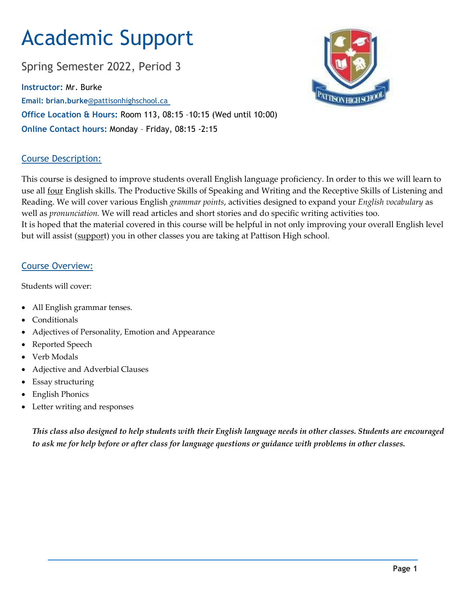# Academic Support

Spring Semester 2022, Period 3

**Instructor:** Mr. Burke **Email: brian.burke**@pattisonhighschool.ca **Office Location & Hours:** Room 113, 08:15 –10:15 (Wed until 10:00) **Online Contact hours:** Monday – Friday, 08:15 -2:15



# Course Description:

This course is designed to improve students overall English language proficiency. In order to this we will learn to use all <u>four</u> English skills. The Productive Skills of Speaking and Writing and the Receptive Skills of Listening and Reading. We will cover various English *grammar points*, activities designed to expand your *English vocabulary* as well as *pronunciation.* We will read articles and short stories and do specific writing activities too. It is hoped that the material covered in this course will be helpful in not only improving your overall English level but will assist (support) you in other classes you are taking at Pattison High school.

## Course Overview:

Students will cover:

- All English grammar tenses.
- Conditionals
- Adjectives of Personality, Emotion and Appearance
- Reported Speech
- Verb Modals
- Adjective and Adverbial Clauses
- Essay structuring
- English Phonics
- Letter writing and responses

*This class also designed to help students with their English language needs in other classes. Students are encouraged to ask me for help before or after class for language questions or guidance with problems in other classes.*